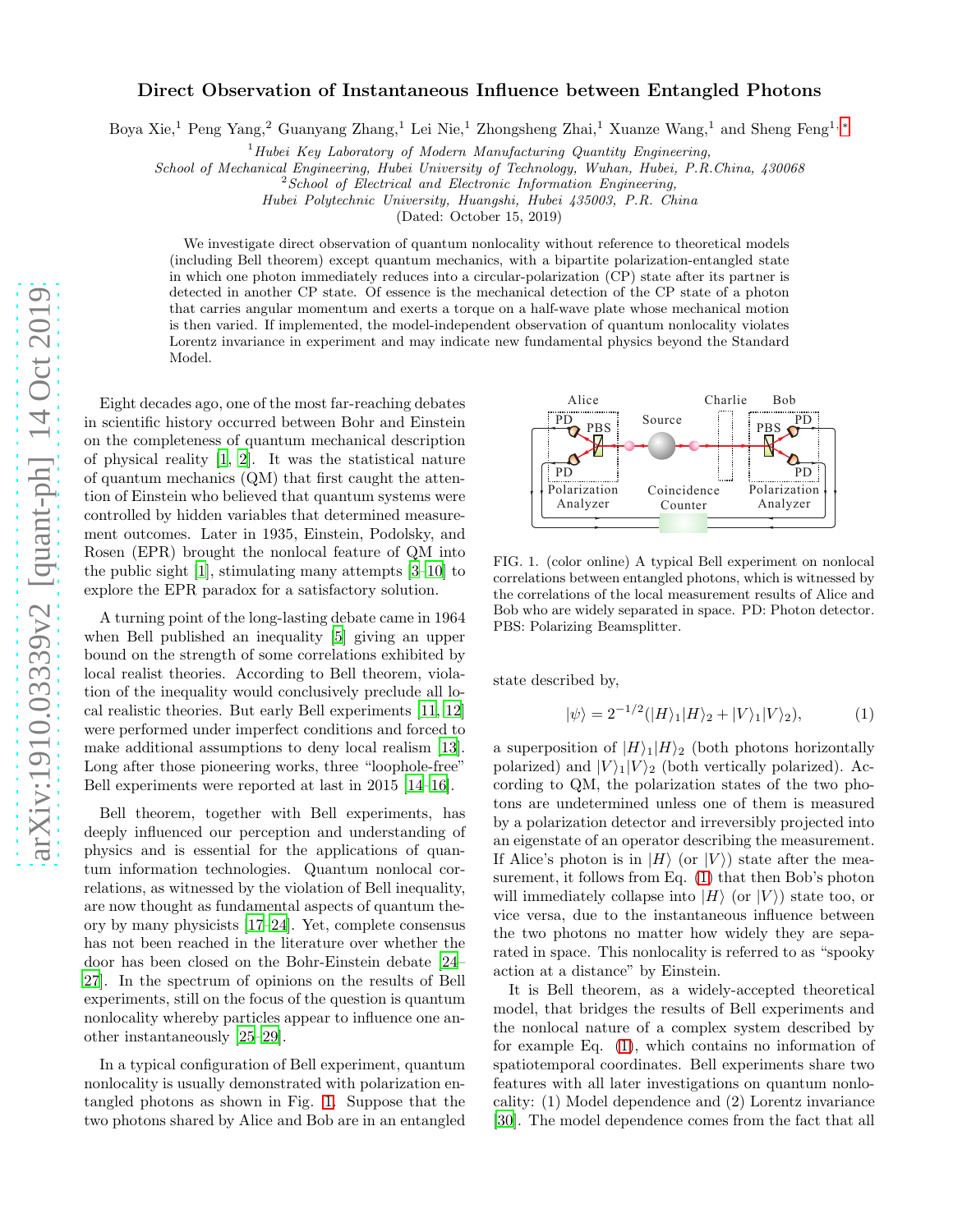## Direct Observation of Instantaneous Influence between Entangled Photons

Boya Xie,<sup>1</sup> Peng Yang,<sup>2</sup> Guanyang Zhang,<sup>1</sup> Lei Nie,<sup>1</sup> Zhongsheng Zhai,<sup>1</sup> Xuanze Wang,<sup>1</sup> and Sheng Feng1, [∗](#page-4-0)

 $1$ <sup>1</sup>Hubei Key Laboratory of Modern Manufacturing Quantity Engineering,

School of Mechanical Engineering, Hubei University of Technology, Wuhan, Hubei, P.R.China, 430068

 $2$ School of Electrical and Electronic Information Engineering,

Hubei Polytechnic University, Huangshi, Hubei 435003, P.R. China

(Dated: October 15, 2019)

We investigate direct observation of quantum nonlocality without reference to theoretical models (including Bell theorem) except quantum mechanics, with a bipartite polarization-entangled state in which one photon immediately reduces into a circular-polarization (CP) state after its partner is detected in another CP state. Of essence is the mechanical detection of the CP state of a photon that carries angular momentum and exerts a torque on a half-wave plate whose mechanical motion is then varied. If implemented, the model-independent observation of quantum nonlocality violates Lorentz invariance in experiment and may indicate new fundamental physics beyond the Standard Model.

Eight decades ago, one of the most far-reaching debates in scientific history occurred between Bohr and Einstein on the completeness of quantum mechanical description of physical reality [\[1](#page-4-1), [2\]](#page-4-2). It was the statistical nature of quantum mechanics (QM) that first caught the attention of Einstein who believed that quantum systems were controlled by hidden variables that determined measurement outcomes. Later in 1935, Einstein, Podolsky, and Rosen (EPR) brought the nonlocal feature of QM into the public sight [\[1](#page-4-1)], stimulating many attempts [\[3](#page-4-3)[–10\]](#page-4-4) to explore the EPR paradox for a satisfactory solution.

A turning point of the long-lasting debate came in 1964 when Bell published an inequality [\[5](#page-4-5)] giving an upper bound on the strength of some correlations exhibited by local realist theories. According to Bell theorem, violation of the inequality would conclusively preclude all local realistic theories. But early Bell experiments [\[11](#page-4-6), [12](#page-4-7)] were performed under imperfect conditions and forced to make additional assumptions to deny local realism [\[13\]](#page-4-8). Long after those pioneering works, three "loophole-free" Bell experiments were reported at last in 2015 [\[14](#page-4-9)[–16\]](#page-4-10).

Bell theorem, together with Bell experiments, has deeply influenced our perception and understanding of physics and is essential for the applications of quantum information technologies. Quantum nonlocal correlations, as witnessed by the violation of Bell inequality, are now thought as fundamental aspects of quantum theory by many physicists [\[17](#page-4-11)[–24](#page-4-12)]. Yet, complete consensus has not been reached in the literature over whether the door has been closed on the Bohr-Einstein debate [\[24](#page-4-12)– [27\]](#page-4-13). In the spectrum of opinions on the results of Bell experiments, still on the focus of the question is quantum nonlocality whereby particles appear to influence one another instantaneously [\[25](#page-4-14)[–29\]](#page-4-15).

In a typical configuration of Bell experiment, quantum nonlocality is usually demonstrated with polarization entangled photons as shown in Fig. [1.](#page-0-0) Suppose that the two photons shared by Alice and Bob are in an entangled



<span id="page-0-0"></span>FIG. 1. (color online) A typical Bell experiment on nonlocal correlations between entangled photons, which is witnessed by the correlations of the local measurement results of Alice and Bob who are widely separated in space. PD: Photon detector. PBS: Polarizing Beamsplitter.

state described by,

<span id="page-0-1"></span>
$$
|\psi\rangle = 2^{-1/2} (|H\rangle_1 |H\rangle_2 + |V\rangle_1 |V\rangle_2), \tag{1}
$$

a superposition of  $|H\rangle_1|H\rangle_2$  (both photons horizontally polarized) and  $|V\rangle_1|V\rangle_2$  (both vertically polarized). According to QM, the polarization states of the two photons are undetermined unless one of them is measured by a polarization detector and irreversibly projected into an eigenstate of an operator describing the measurement. If Alice's photon is in  $|H\rangle$  (or  $|V\rangle$ ) state after the measurement, it follows from Eq. [\(1\)](#page-0-1) that then Bob's photon will immediately collapse into  $|H\rangle$  (or  $|V\rangle$ ) state too, or vice versa, due to the instantaneous influence between the two photons no matter how widely they are separated in space. This nonlocality is referred to as "spooky action at a distance" by Einstein.

It is Bell theorem, as a widely-accepted theoretical model, that bridges the results of Bell experiments and the nonlocal nature of a complex system described by for example Eq. [\(1\)](#page-0-1), which contains no information of spatiotemporal coordinates. Bell experiments share two features with all later investigations on quantum nonlocality: (1) Model dependence and (2) Lorentz invariance [\[30\]](#page-4-16). The model dependence comes from the fact that all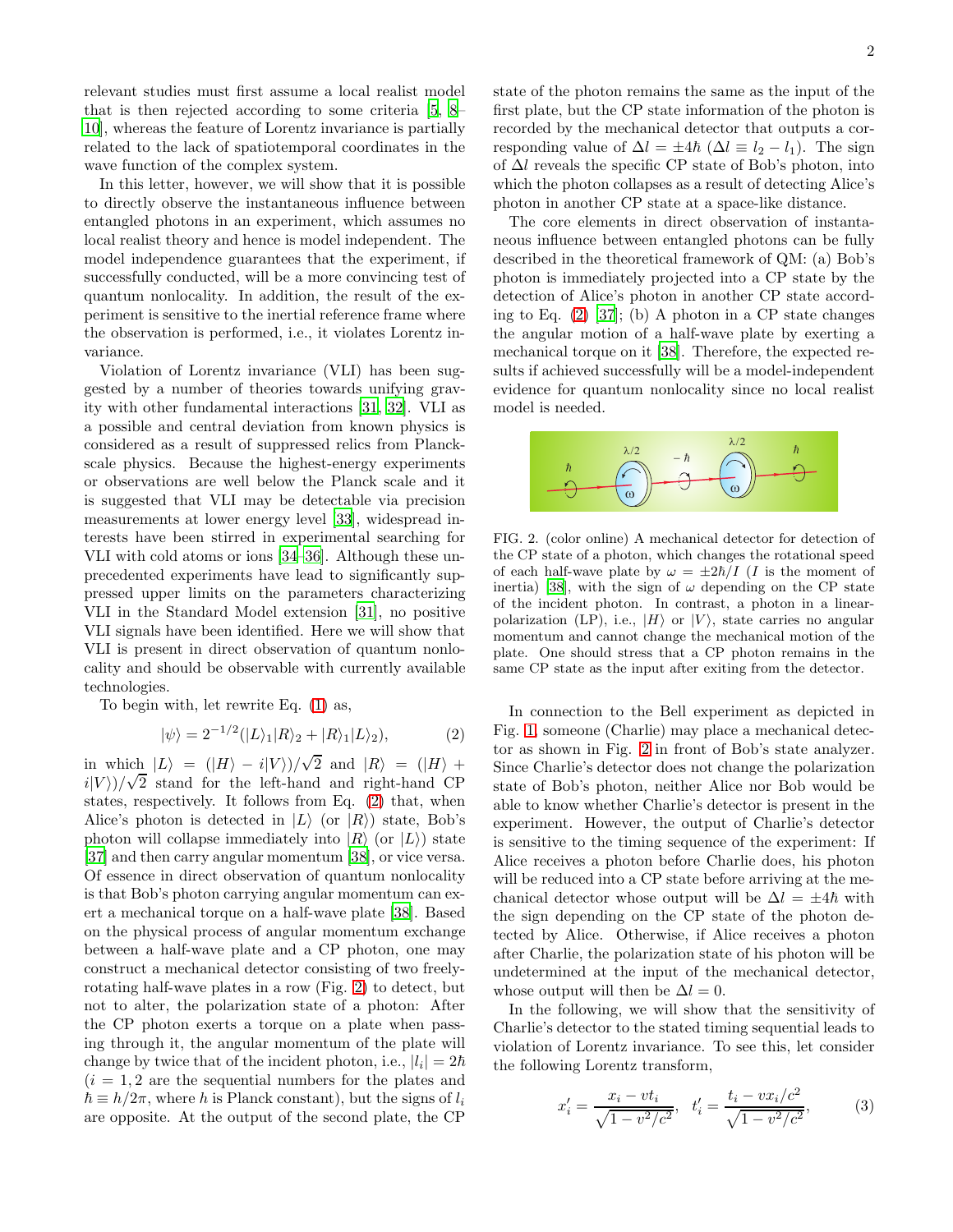relevant studies must first assume a local realist model that is then rejected according to some criteria [\[5,](#page-4-5) [8](#page-4-17)– [10\]](#page-4-4), whereas the feature of Lorentz invariance is partially related to the lack of spatiotemporal coordinates in the wave function of the complex system.

In this letter, however, we will show that it is possible to directly observe the instantaneous influence between entangled photons in an experiment, which assumes no local realist theory and hence is model independent. The model independence guarantees that the experiment, if successfully conducted, will be a more convincing test of quantum nonlocality. In addition, the result of the experiment is sensitive to the inertial reference frame where the observation is performed, i.e., it violates Lorentz invariance.

Violation of Lorentz invariance (VLI) has been suggested by a number of theories towards unifying gravity with other fundamental interactions [\[31,](#page-4-18) [32\]](#page-4-19). VLI as a possible and central deviation from known physics is considered as a result of suppressed relics from Planckscale physics. Because the highest-energy experiments or observations are well below the Planck scale and it is suggested that VLI may be detectable via precision measurements at lower energy level [\[33](#page-4-20)], widespread interests have been stirred in experimental searching for VLI with cold atoms or ions [\[34](#page-4-21)[–36](#page-4-22)]. Although these unprecedented experiments have lead to significantly suppressed upper limits on the parameters characterizing VLI in the Standard Model extension [\[31](#page-4-18)], no positive VLI signals have been identified. Here we will show that VLI is present in direct observation of quantum nonlocality and should be observable with currently available technologies.

To begin with, let rewrite Eq. [\(1\)](#page-0-1) as,

<span id="page-1-0"></span>
$$
|\psi\rangle = 2^{-1/2} (|L\rangle_1 |R\rangle_2 + |R\rangle_1 |L\rangle_2), \tag{2}
$$

in which  $|L\rangle = (|H\rangle - i|V\rangle)/\sqrt{2}$  and  $|R\rangle = (|H\rangle +$  $i|V\rangle$ )/ $\sqrt{2}$  stand for the left-hand and right-hand CP states, respectively. It follows from Eq. [\(2\)](#page-1-0) that, when Alice's photon is detected in  $|L\rangle$  (or  $|R\rangle$ ) state, Bob's photon will collapse immediately into  $|R\rangle$  (or  $|L\rangle$ ) state [\[37\]](#page-4-23) and then carry angular momentum [\[38\]](#page-4-24), or vice versa. Of essence in direct observation of quantum nonlocality is that Bob's photon carrying angular momentum can exert a mechanical torque on a half-wave plate [\[38](#page-4-24)]. Based on the physical process of angular momentum exchange between a half-wave plate and a CP photon, one may construct a mechanical detector consisting of two freelyrotating half-wave plates in a row (Fig. [2\)](#page-1-1) to detect, but not to alter, the polarization state of a photon: After the CP photon exerts a torque on a plate when passing through it, the angular momentum of the plate will change by twice that of the incident photon, i.e.,  $|l_i| = 2\hbar$  $(i = 1, 2$  are the sequential numbers for the plates and  $\hbar \equiv h/2\pi$ , where h is Planck constant), but the signs of  $l_i$ are opposite. At the output of the second plate, the CP

state of the photon remains the same as the input of the first plate, but the CP state information of the photon is recorded by the mechanical detector that outputs a corresponding value of  $\Delta l = \pm 4\hbar$  ( $\Delta l \equiv l_2 - l_1$ ). The sign of  $\Delta l$  reveals the specific CP state of Bob's photon, into which the photon collapses as a result of detecting Alice's photon in another CP state at a space-like distance.

The core elements in direct observation of instantaneous influence between entangled photons can be fully described in the theoretical framework of QM: (a) Bob's photon is immediately projected into a CP state by the detection of Alice's photon in another CP state according to Eq. [\(2\)](#page-1-0) [\[37](#page-4-23)]; (b) A photon in a CP state changes the angular motion of a half-wave plate by exerting a mechanical torque on it [\[38\]](#page-4-24). Therefore, the expected results if achieved successfully will be a model-independent evidence for quantum nonlocality since no local realist model is needed.



<span id="page-1-1"></span>FIG. 2. (color online) A mechanical detector for detection of the CP state of a photon, which changes the rotational speed of each half-wave plate by  $\omega = \pm 2\hbar/I$  (*I* is the moment of inertia) [\[38](#page-4-24)], with the sign of  $\omega$  depending on the CP state of the incident photon. In contrast, a photon in a linearpolarization (LP), i.e.,  $|H\rangle$  or  $|V\rangle$ , state carries no angular momentum and cannot change the mechanical motion of the plate. One should stress that a CP photon remains in the same CP state as the input after exiting from the detector.

In connection to the Bell experiment as depicted in Fig. [1,](#page-0-0) someone (Charlie) may place a mechanical detector as shown in Fig. [2](#page-1-1) in front of Bob's state analyzer. Since Charlie's detector does not change the polarization state of Bob's photon, neither Alice nor Bob would be able to know whether Charlie's detector is present in the experiment. However, the output of Charlie's detector is sensitive to the timing sequence of the experiment: If Alice receives a photon before Charlie does, his photon will be reduced into a CP state before arriving at the mechanical detector whose output will be  $\Delta l = \pm 4\hbar$  with the sign depending on the CP state of the photon detected by Alice. Otherwise, if Alice receives a photon after Charlie, the polarization state of his photon will be undetermined at the input of the mechanical detector, whose output will then be  $\Delta l = 0$ .

In the following, we will show that the sensitivity of Charlie's detector to the stated timing sequential leads to violation of Lorentz invariance. To see this, let consider the following Lorentz transform,

<span id="page-1-2"></span>
$$
x'_{i} = \frac{x_{i} - vt_{i}}{\sqrt{1 - v^{2}/c^{2}}}, \quad t'_{i} = \frac{t_{i} - vx_{i}/c^{2}}{\sqrt{1 - v^{2}/c^{2}}},
$$
(3)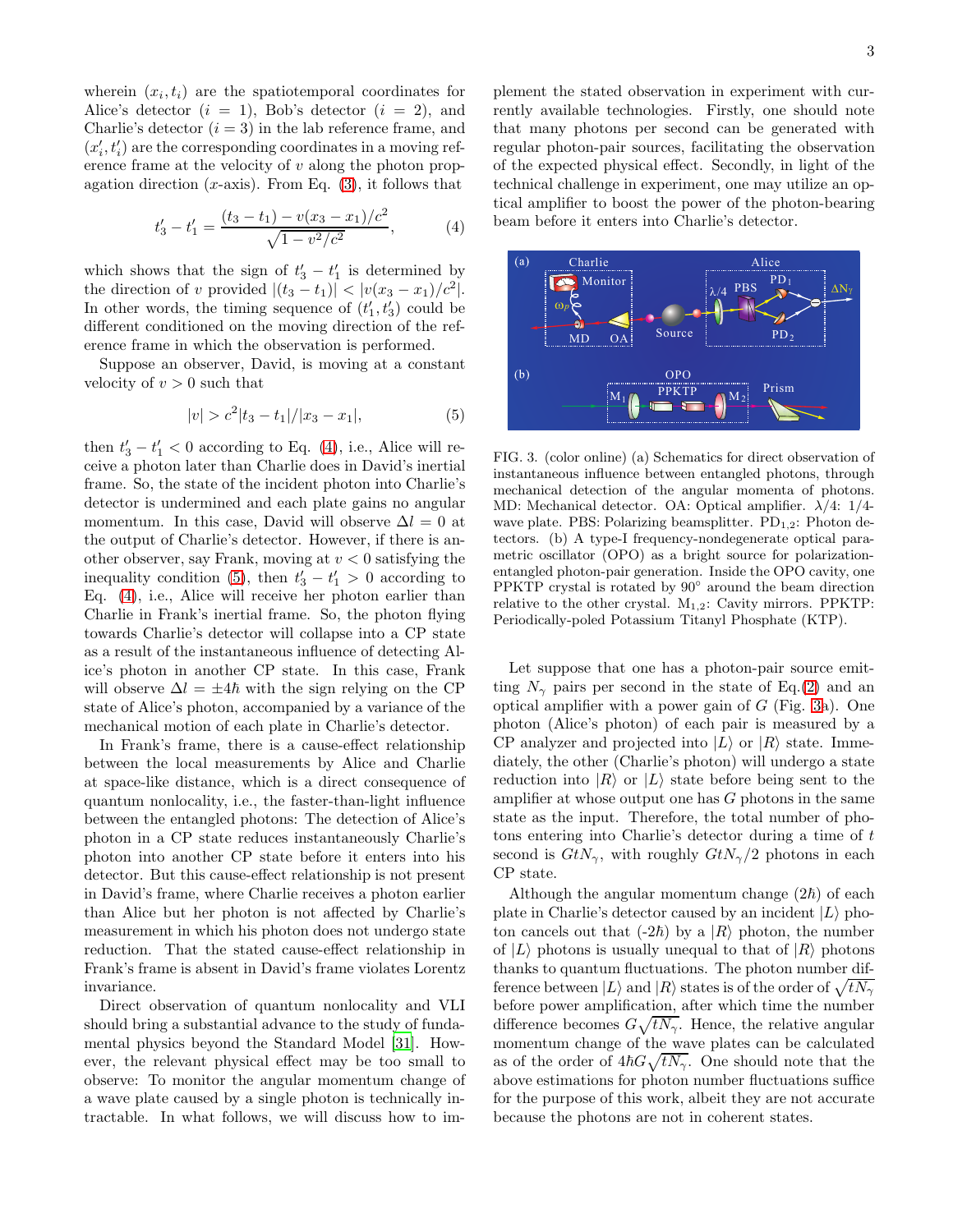wherein  $(x_i, t_i)$  are the spatiotemporal coordinates for Alice's detector  $(i = 1)$ , Bob's detector  $(i = 2)$ , and Charlie's detector  $(i = 3)$  in the lab reference frame, and  $(x'_i, t'_i)$  are the corresponding coordinates in a moving reference frame at the velocity of  $v$  along the photon propagation direction  $(x\text{-axis})$ . From Eq. [\(3\)](#page-1-2), it follows that

<span id="page-2-0"></span>
$$
t'_3 - t'_1 = \frac{(t_3 - t_1) - v(x_3 - x_1)/c^2}{\sqrt{1 - v^2/c^2}},
$$
 (4)

which shows that the sign of  $t'_3 - t'_1$  is determined by the direction of v provided  $|(t_3 - t_1)| < |v(x_3 - x_1)/c^2|$ . In other words, the timing sequence of  $(t'_1, t'_3)$  could be different conditioned on the moving direction of the reference frame in which the observation is performed.

Suppose an observer, David, is moving at a constant velocity of  $v > 0$  such that

<span id="page-2-1"></span>
$$
|v| > c2 |t3 - t1| / |x3 - x1|,
$$
\n(5)

then  $t'_3 - t'_1 < 0$  according to Eq. [\(4\)](#page-2-0), i.e., Alice will receive a photon later than Charlie does in David's inertial frame. So, the state of the incident photon into Charlie's detector is undermined and each plate gains no angular momentum. In this case, David will observe  $\Delta l = 0$  at the output of Charlie's detector. However, if there is another observer, say Frank, moving at  $v < 0$  satisfying the inequality condition [\(5\)](#page-2-1), then  $t'_3 - t'_1 > 0$  according to Eq. [\(4\)](#page-2-0), i.e., Alice will receive her photon earlier than Charlie in Frank's inertial frame. So, the photon flying towards Charlie's detector will collapse into a CP state as a result of the instantaneous influence of detecting Alice's photon in another CP state. In this case, Frank will observe  $\Delta l = \pm 4\hbar$  with the sign relying on the CP state of Alice's photon, accompanied by a variance of the mechanical motion of each plate in Charlie's detector.

In Frank's frame, there is a cause-effect relationship between the local measurements by Alice and Charlie at space-like distance, which is a direct consequence of quantum nonlocality, i.e., the faster-than-light influence between the entangled photons: The detection of Alice's photon in a CP state reduces instantaneously Charlie's photon into another CP state before it enters into his detector. But this cause-effect relationship is not present in David's frame, where Charlie receives a photon earlier than Alice but her photon is not affected by Charlie's measurement in which his photon does not undergo state reduction. That the stated cause-effect relationship in Frank's frame is absent in David's frame violates Lorentz invariance.

Direct observation of quantum nonlocality and VLI should bring a substantial advance to the study of fundamental physics beyond the Standard Model [\[31](#page-4-18)]. However, the relevant physical effect may be too small to observe: To monitor the angular momentum change of a wave plate caused by a single photon is technically intractable. In what follows, we will discuss how to im-

plement the stated observation in experiment with currently available technologies. Firstly, one should note that many photons per second can be generated with regular photon-pair sources, facilitating the observation of the expected physical effect. Secondly, in light of the technical challenge in experiment, one may utilize an optical amplifier to boost the power of the photon-bearing beam before it enters into Charlie's detector.



<span id="page-2-2"></span>FIG. 3. (color online) (a) Schematics for direct observation of instantaneous influence between entangled photons, through mechanical detection of the angular momenta of photons. MD: Mechanical detector. OA: Optical amplifier.  $\lambda/4$ : 1/4wave plate. PBS: Polarizing beamsplitter.  $PD_{1,2}$ : Photon detectors. (b) A type-I frequency-nondegenerate optical parametric oscillator (OPO) as a bright source for polarizationentangled photon-pair generation. Inside the OPO cavity, one PPKTP crystal is rotated by 90° around the beam direction relative to the other crystal.  $M_{1,2}$ : Cavity mirrors. PPKTP: Periodically-poled Potassium Titanyl Phosphate (KTP).

Let suppose that one has a photon-pair source emitting  $N_{\gamma}$  pairs per second in the state of Eq.[\(2\)](#page-1-0) and an optical amplifier with a power gain of  $G$  (Fig. [3a](#page-2-2)). One photon (Alice's photon) of each pair is measured by a CP analyzer and projected into  $|L\rangle$  or  $|R\rangle$  state. Immediately, the other (Charlie's photon) will undergo a state reduction into  $|R\rangle$  or  $|L\rangle$  state before being sent to the amplifier at whose output one has  $G$  photons in the same state as the input. Therefore, the total number of photons entering into Charlie's detector during a time of  $t$ second is  $GtN_{\gamma}$ , with roughly  $GtN_{\gamma}/2$  photons in each CP state.

Although the angular momentum change  $(2\hbar)$  of each plate in Charlie's detector caused by an incident  $|L\rangle$  photon cancels out that  $(-2\hbar)$  by a  $|R\rangle$  photon, the number of  $|L\rangle$  photons is usually unequal to that of  $|R\rangle$  photons thanks to quantum fluctuations. The photon number difference between  $|L\rangle$  and  $|R\rangle$  states is of the order of  $\sqrt{tN_{\gamma}}$ before power amplification, after which time the number difference becomes  $G\sqrt{tN_{\gamma}}$ . Hence, the relative angular momentum change of the wave plates can be calculated as of the order of  $4\hbar G\sqrt{tN_{\gamma}}$ . One should note that the above estimations for photon number fluctuations suffice for the purpose of this work, albeit they are not accurate because the photons are not in coherent states.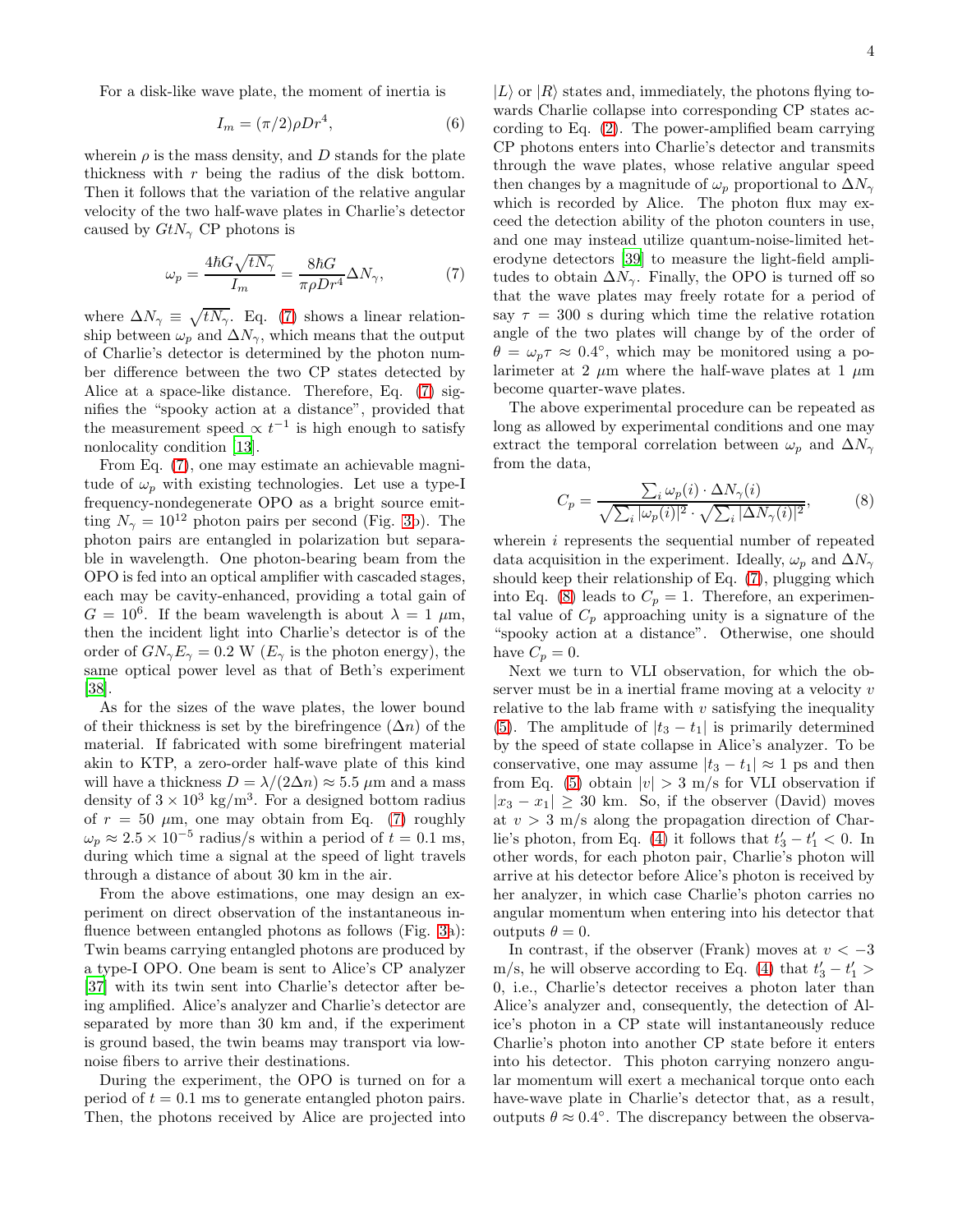For a disk-like wave plate, the moment of inertia is

$$
I_m = (\pi/2)\rho D r^4,\tag{6}
$$

wherein  $\rho$  is the mass density, and D stands for the plate thickness with  $r$  being the radius of the disk bottom. Then it follows that the variation of the relative angular velocity of the two half-wave plates in Charlie's detector caused by  $GtN_{\gamma}$  CP photons is

<span id="page-3-0"></span>
$$
\omega_p = \frac{4\hbar G \sqrt{tN_\gamma}}{I_m} = \frac{8\hbar G}{\pi \rho D r^4} \Delta N_\gamma,\tag{7}
$$

where  $\Delta N_{\gamma} \equiv \sqrt{tN_{\gamma}}$ . Eq. [\(7\)](#page-3-0) shows a linear relationship between  $\omega_p$  and  $\Delta N_{\gamma}$ , which means that the output of Charlie's detector is determined by the photon number difference between the two CP states detected by Alice at a space-like distance. Therefore, Eq. [\(7\)](#page-3-0) signifies the "spooky action at a distance", provided that the measurement speed  $\propto t^{-1}$  is high enough to satisfy nonlocality condition [\[13\]](#page-4-8).

From Eq. [\(7\)](#page-3-0), one may estimate an achievable magnitude of  $\omega_p$  with existing technologies. Let use a type-I frequency-nondegenerate OPO as a bright source emitting  $N_{\gamma} = 10^{12}$  photon pairs per second (Fig. [3b](#page-2-2)). The photon pairs are entangled in polarization but separable in wavelength. One photon-bearing beam from the OPO is fed into an optical amplifier with cascaded stages, each may be cavity-enhanced, providing a total gain of  $G = 10^6$ . If the beam wavelength is about  $\lambda = 1 \mu m$ , then the incident light into Charlie's detector is of the order of  $GN_{\gamma}E_{\gamma}=0.2$  W  $(E_{\gamma}$  is the photon energy), the same optical power level as that of Beth's experiment [\[38\]](#page-4-24).

As for the sizes of the wave plates, the lower bound of their thickness is set by the birefringence  $(\Delta n)$  of the material. If fabricated with some birefringent material akin to KTP, a zero-order half-wave plate of this kind will have a thickness  $D = \lambda/(2\Delta n) \approx 5.5 \mu m$  and a mass density of  $3 \times 10^3$  kg/m<sup>3</sup>. For a designed bottom radius of  $r = 50 \mu m$ , one may obtain from Eq. [\(7\)](#page-3-0) roughly  $\omega_p \approx 2.5 \times 10^{-5}$  radius/s within a period of  $t = 0.1$  ms, during which time a signal at the speed of light travels through a distance of about 30 km in the air.

From the above estimations, one may design an experiment on direct observation of the instantaneous influence between entangled photons as follows (Fig. [3a](#page-2-2)): Twin beams carrying entangled photons are produced by a type-I OPO. One beam is sent to Alice's CP analyzer [\[37\]](#page-4-23) with its twin sent into Charlie's detector after being amplified. Alice's analyzer and Charlie's detector are separated by more than 30 km and, if the experiment is ground based, the twin beams may transport via lownoise fibers to arrive their destinations.

During the experiment, the OPO is turned on for a period of  $t = 0.1$  ms to generate entangled photon pairs. Then, the photons received by Alice are projected into

 $|L\rangle$  or  $|R\rangle$  states and, immediately, the photons flying towards Charlie collapse into corresponding CP states according to Eq. [\(2\)](#page-1-0). The power-amplified beam carrying CP photons enters into Charlie's detector and transmits through the wave plates, whose relative angular speed then changes by a magnitude of  $\omega_p$  proportional to  $\Delta N_{\gamma}$ which is recorded by Alice. The photon flux may exceed the detection ability of the photon counters in use, and one may instead utilize quantum-noise-limited heterodyne detectors [\[39\]](#page-4-25) to measure the light-field amplitudes to obtain  $\Delta N_{\gamma}$ . Finally, the OPO is turned off so that the wave plates may freely rotate for a period of say  $\tau = 300$  s during which time the relative rotation angle of the two plates will change by of the order of  $\theta = \omega_p \tau \approx 0.4^{\circ}$ , which may be monitored using a polarimeter at 2  $\mu$ m where the half-wave plates at 1  $\mu$ m become quarter-wave plates.

The above experimental procedure can be repeated as long as allowed by experimental conditions and one may extract the temporal correlation between  $\omega_p$  and  $\Delta N_{\gamma}$ from the data,

<span id="page-3-1"></span>
$$
C_p = \frac{\sum_i \omega_p(i) \cdot \Delta N_\gamma(i)}{\sqrt{\sum_i |\omega_p(i)|^2} \cdot \sqrt{\sum_i |\Delta N_\gamma(i)|^2}},\tag{8}
$$

wherein *i* represents the sequential number of repeated data acquisition in the experiment. Ideally,  $\omega_p$  and  $\Delta N_{\gamma}$ should keep their relationship of Eq. [\(7\)](#page-3-0), plugging which into Eq. [\(8\)](#page-3-1) leads to  $C_p = 1$ . Therefore, an experimental value of  $C_p$  approaching unity is a signature of the "spooky action at a distance". Otherwise, one should have  $C_p = 0$ .

Next we turn to VLI observation, for which the observer must be in a inertial frame moving at a velocity v relative to the lab frame with  $v$  satisfying the inequality [\(5\)](#page-2-1). The amplitude of  $|t_3 - t_1|$  is primarily determined by the speed of state collapse in Alice's analyzer. To be conservative, one may assume  $|t_3 - t_1| \approx 1$  ps and then from Eq. [\(5\)](#page-2-1) obtain  $|v| > 3$  m/s for VLI observation if  $|x_3 - x_1| \geq 30$  km. So, if the observer (David) moves at  $v > 3$  m/s along the propagation direction of Char-lie's photon, from Eq. [\(4\)](#page-2-0) it follows that  $t'_3 - t'_1 < 0$ . In other words, for each photon pair, Charlie's photon will arrive at his detector before Alice's photon is received by her analyzer, in which case Charlie's photon carries no angular momentum when entering into his detector that outputs  $\theta = 0$ .

In contrast, if the observer (Frank) moves at  $v < -3$ m/s, he will observe according to Eq. [\(4\)](#page-2-0) that  $t'_3 - t'_1 >$ 0, i.e., Charlie's detector receives a photon later than Alice's analyzer and, consequently, the detection of Alice's photon in a CP state will instantaneously reduce Charlie's photon into another CP state before it enters into his detector. This photon carrying nonzero angular momentum will exert a mechanical torque onto each have-wave plate in Charlie's detector that, as a result, outputs  $\theta \approx 0.4^{\circ}$ . The discrepancy between the observa